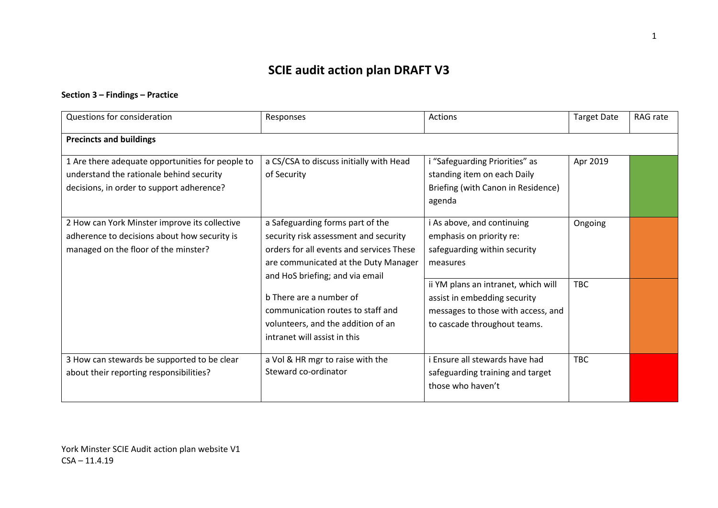## **SCIE audit action plan DRAFT V3**

## **Section 3 – Findings – Practice**

| Questions for consideration                                                                                                               | Responses                                                                                                                                                                                        | Actions                                                                                                                                   | <b>Target Date</b> | RAG rate |
|-------------------------------------------------------------------------------------------------------------------------------------------|--------------------------------------------------------------------------------------------------------------------------------------------------------------------------------------------------|-------------------------------------------------------------------------------------------------------------------------------------------|--------------------|----------|
| <b>Precincts and buildings</b>                                                                                                            |                                                                                                                                                                                                  |                                                                                                                                           |                    |          |
| 1 Are there adequate opportunities for people to<br>understand the rationale behind security<br>decisions, in order to support adherence? | a CS/CSA to discuss initially with Head<br>of Security                                                                                                                                           | i "Safeguarding Priorities" as<br>standing item on each Daily<br>Briefing (with Canon in Residence)<br>agenda                             | Apr 2019           |          |
| 2 How can York Minster improve its collective<br>adherence to decisions about how security is<br>managed on the floor of the minster?     | a Safeguarding forms part of the<br>security risk assessment and security<br>orders for all events and services These<br>are communicated at the Duty Manager<br>and HoS briefing; and via email | i As above, and continuing<br>emphasis on priority re:<br>safeguarding within security<br>measures                                        | Ongoing            |          |
|                                                                                                                                           | b There are a number of<br>communication routes to staff and<br>volunteers, and the addition of an<br>intranet will assist in this                                                               | ii YM plans an intranet, which will<br>assist in embedding security<br>messages to those with access, and<br>to cascade throughout teams. | <b>TBC</b>         |          |
| 3 How can stewards be supported to be clear<br>about their reporting responsibilities?                                                    | a Vol & HR mgr to raise with the<br>Steward co-ordinator                                                                                                                                         | i Ensure all stewards have had<br>safeguarding training and target<br>those who haven't                                                   | <b>TBC</b>         |          |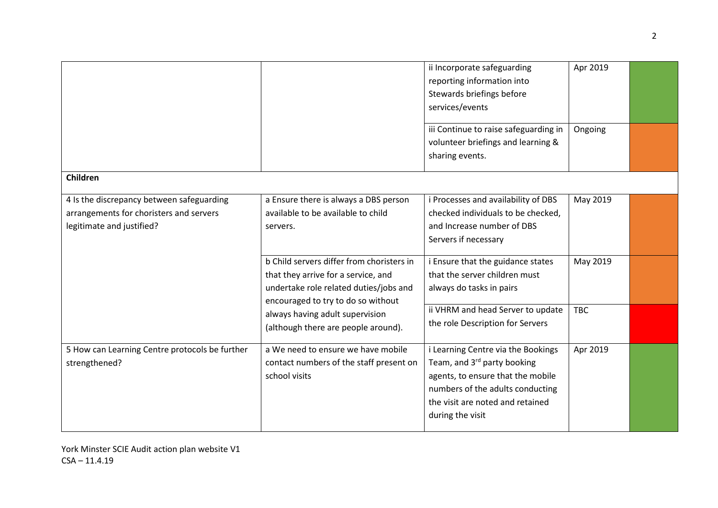|                                                                                                                   |                                                                                                                                                                  | ii Incorporate safeguarding<br>reporting information into<br>Stewards briefings before<br>services/events                                                                                                      | Apr 2019   |  |
|-------------------------------------------------------------------------------------------------------------------|------------------------------------------------------------------------------------------------------------------------------------------------------------------|----------------------------------------------------------------------------------------------------------------------------------------------------------------------------------------------------------------|------------|--|
|                                                                                                                   |                                                                                                                                                                  | iii Continue to raise safeguarding in<br>volunteer briefings and learning &<br>sharing events.                                                                                                                 | Ongoing    |  |
| Children                                                                                                          |                                                                                                                                                                  |                                                                                                                                                                                                                |            |  |
| 4 Is the discrepancy between safeguarding<br>arrangements for choristers and servers<br>legitimate and justified? | a Ensure there is always a DBS person<br>available to be available to child<br>servers.                                                                          | i Processes and availability of DBS<br>checked individuals to be checked,<br>and Increase number of DBS<br>Servers if necessary                                                                                | May 2019   |  |
|                                                                                                                   | b Child servers differ from choristers in<br>that they arrive for a service, and<br>undertake role related duties/jobs and<br>encouraged to try to do so without | i Ensure that the guidance states<br>that the server children must<br>always do tasks in pairs                                                                                                                 | May 2019   |  |
|                                                                                                                   | always having adult supervision<br>(although there are people around).                                                                                           | ii VHRM and head Server to update<br>the role Description for Servers                                                                                                                                          | <b>TBC</b> |  |
| 5 How can Learning Centre protocols be further<br>strengthened?                                                   | a We need to ensure we have mobile<br>contact numbers of the staff present on<br>school visits                                                                   | i Learning Centre via the Bookings<br>Team, and 3 <sup>rd</sup> party booking<br>agents, to ensure that the mobile<br>numbers of the adults conducting<br>the visit are noted and retained<br>during the visit | Apr 2019   |  |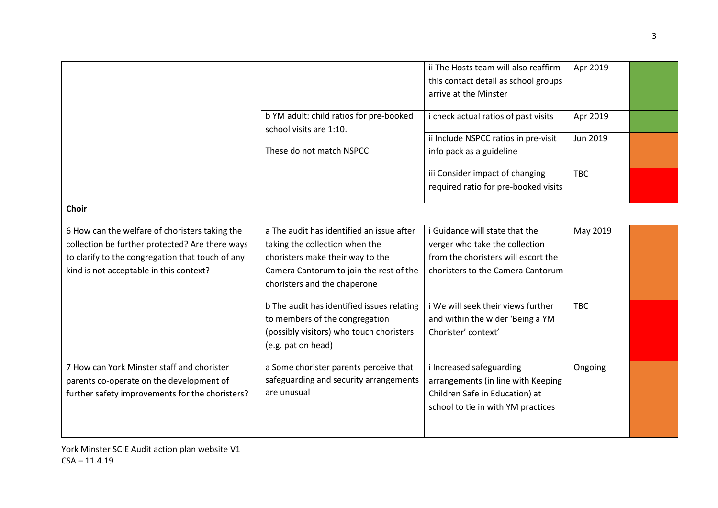|                                                                                                                                                                                                  |                                                                                                                                                                                            | ii The Hosts team will also reaffirm<br>this contact detail as school groups<br>arrive at the Minster                                        | Apr 2019   |  |
|--------------------------------------------------------------------------------------------------------------------------------------------------------------------------------------------------|--------------------------------------------------------------------------------------------------------------------------------------------------------------------------------------------|----------------------------------------------------------------------------------------------------------------------------------------------|------------|--|
|                                                                                                                                                                                                  | b YM adult: child ratios for pre-booked<br>school visits are 1:10.                                                                                                                         | i check actual ratios of past visits                                                                                                         | Apr 2019   |  |
|                                                                                                                                                                                                  | These do not match NSPCC                                                                                                                                                                   | ii Include NSPCC ratios in pre-visit<br>info pack as a guideline                                                                             | Jun 2019   |  |
|                                                                                                                                                                                                  |                                                                                                                                                                                            | iii Consider impact of changing<br>required ratio for pre-booked visits                                                                      | <b>TBC</b> |  |
| <b>Choir</b>                                                                                                                                                                                     |                                                                                                                                                                                            |                                                                                                                                              |            |  |
| 6 How can the welfare of choristers taking the<br>collection be further protected? Are there ways<br>to clarify to the congregation that touch of any<br>kind is not acceptable in this context? | a The audit has identified an issue after<br>taking the collection when the<br>choristers make their way to the<br>Camera Cantorum to join the rest of the<br>choristers and the chaperone | i Guidance will state that the<br>verger who take the collection<br>from the choristers will escort the<br>choristers to the Camera Cantorum | May 2019   |  |
|                                                                                                                                                                                                  | b The audit has identified issues relating<br>to members of the congregation<br>(possibly visitors) who touch choristers<br>(e.g. pat on head)                                             | i We will seek their views further<br>and within the wider 'Being a YM<br>Chorister' context'                                                | <b>TBC</b> |  |
| 7 How can York Minster staff and chorister<br>parents co-operate on the development of<br>further safety improvements for the choristers?                                                        | a Some chorister parents perceive that<br>safeguarding and security arrangements<br>are unusual                                                                                            | i Increased safeguarding<br>arrangements (in line with Keeping<br>Children Safe in Education) at<br>school to tie in with YM practices       | Ongoing    |  |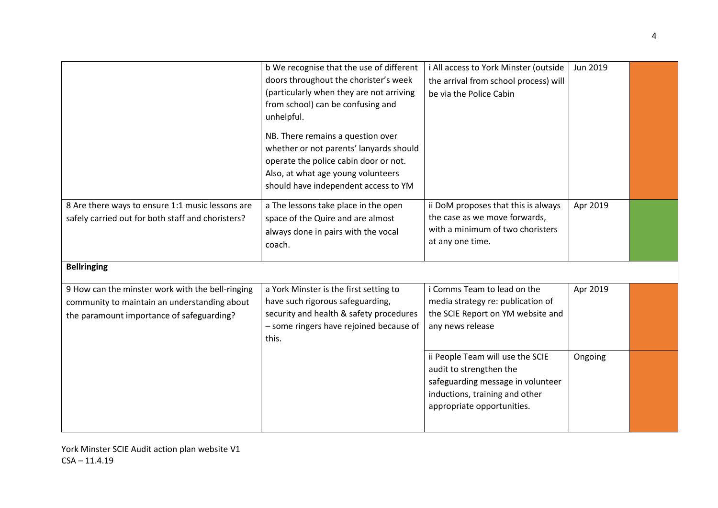|                                                                                                                                               | b We recognise that the use of different<br>doors throughout the chorister's week<br>(particularly when they are not arriving<br>from school) can be confusing and<br>unhelpful.<br>NB. There remains a question over<br>whether or not parents' lanyards should<br>operate the police cabin door or not.<br>Also, at what age young volunteers<br>should have independent access to YM | i All access to York Minster (outside<br>the arrival from school process) will<br>be via the Police Cabin                                                        | Jun 2019 |  |
|-----------------------------------------------------------------------------------------------------------------------------------------------|-----------------------------------------------------------------------------------------------------------------------------------------------------------------------------------------------------------------------------------------------------------------------------------------------------------------------------------------------------------------------------------------|------------------------------------------------------------------------------------------------------------------------------------------------------------------|----------|--|
| 8 Are there ways to ensure 1:1 music lessons are<br>safely carried out for both staff and choristers?                                         | a The lessons take place in the open<br>space of the Quire and are almost<br>always done in pairs with the vocal<br>coach.                                                                                                                                                                                                                                                              | ii DoM proposes that this is always<br>the case as we move forwards,<br>with a minimum of two choristers<br>at any one time.                                     | Apr 2019 |  |
| <b>Bellringing</b>                                                                                                                            |                                                                                                                                                                                                                                                                                                                                                                                         |                                                                                                                                                                  |          |  |
| 9 How can the minster work with the bell-ringing<br>community to maintain an understanding about<br>the paramount importance of safeguarding? | a York Minster is the first setting to<br>have such rigorous safeguarding,<br>security and health & safety procedures<br>- some ringers have rejoined because of<br>this.                                                                                                                                                                                                               | i Comms Team to lead on the<br>media strategy re: publication of<br>the SCIE Report on YM website and<br>any news release                                        | Apr 2019 |  |
|                                                                                                                                               |                                                                                                                                                                                                                                                                                                                                                                                         | ii People Team will use the SCIE<br>audit to strengthen the<br>safeguarding message in volunteer<br>inductions, training and other<br>appropriate opportunities. | Ongoing  |  |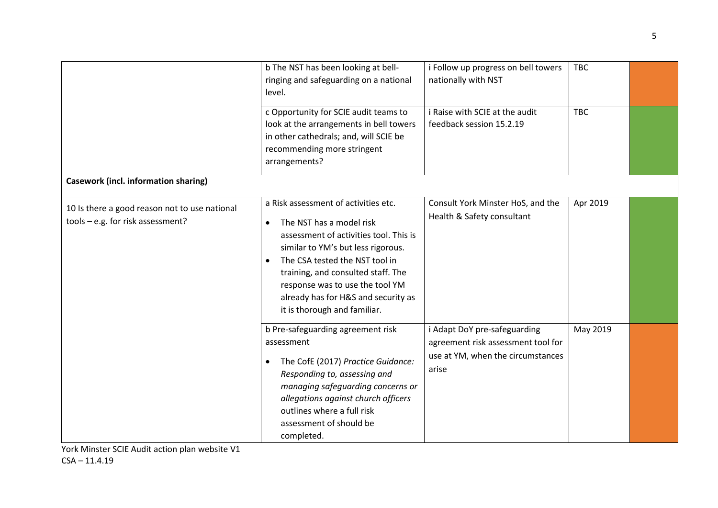|                                                                                    | b The NST has been looking at bell-<br>ringing and safeguarding on a national<br>level.<br>c Opportunity for SCIE audit teams to<br>look at the arrangements in bell towers<br>in other cathedrals; and, will SCIE be<br>recommending more stringent<br>arrangements?                                                              | i Follow up progress on bell towers<br>nationally with NST<br>i Raise with SCIE at the audit<br>feedback session 15.2.19 | TBC<br><b>TBC</b> |  |
|------------------------------------------------------------------------------------|------------------------------------------------------------------------------------------------------------------------------------------------------------------------------------------------------------------------------------------------------------------------------------------------------------------------------------|--------------------------------------------------------------------------------------------------------------------------|-------------------|--|
| <b>Casework (incl. information sharing)</b>                                        |                                                                                                                                                                                                                                                                                                                                    |                                                                                                                          |                   |  |
| 10 Is there a good reason not to use national<br>tools - e.g. for risk assessment? | a Risk assessment of activities etc.<br>The NST has a model risk<br>assessment of activities tool. This is<br>similar to YM's but less rigorous.<br>The CSA tested the NST tool in<br>training, and consulted staff. The<br>response was to use the tool YM<br>already has for H&S and security as<br>it is thorough and familiar. | Consult York Minster HoS, and the<br>Health & Safety consultant                                                          | Apr 2019          |  |
|                                                                                    | b Pre-safeguarding agreement risk<br>assessment<br>The CofE (2017) Practice Guidance:<br>Responding to, assessing and<br>managing safeguarding concerns or<br>allegations against church officers<br>outlines where a full risk<br>assessment of should be<br>completed.                                                           | i Adapt DoY pre-safeguarding<br>agreement risk assessment tool for<br>use at YM, when the circumstances<br>arise         | May 2019          |  |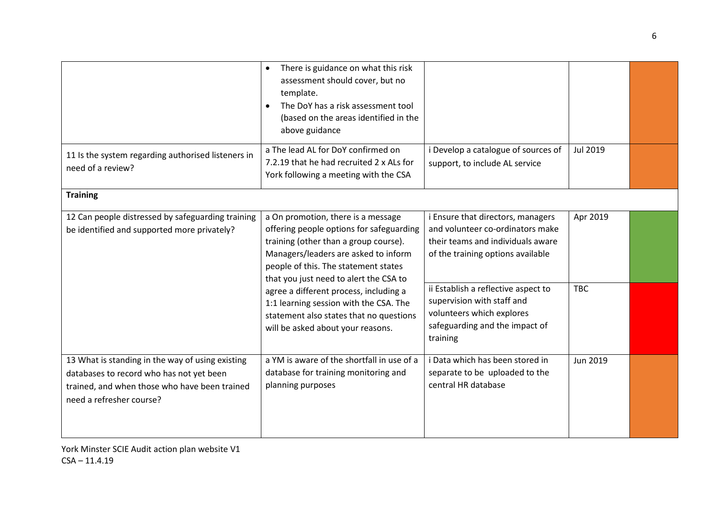| There is guidance on what this risk<br>$\bullet$<br>assessment should cover, but no<br>template.<br>The DoY has a risk assessment tool<br>(based on the areas identified in the<br>above guidance       |                                                                                                                                                 |                 |  |
|---------------------------------------------------------------------------------------------------------------------------------------------------------------------------------------------------------|-------------------------------------------------------------------------------------------------------------------------------------------------|-----------------|--|
| a The lead AL for DoY confirmed on<br>7.2.19 that he had recruited 2 x ALs for<br>York following a meeting with the CSA                                                                                 | i Develop a catalogue of sources of<br>support, to include AL service                                                                           | <b>Jul 2019</b> |  |
|                                                                                                                                                                                                         |                                                                                                                                                 |                 |  |
| a On promotion, there is a message<br>offering people options for safeguarding<br>training (other than a group course).<br>Managers/leaders are asked to inform<br>people of this. The statement states | i Ensure that directors, managers<br>and volunteer co-ordinators make<br>their teams and individuals aware<br>of the training options available | Apr 2019        |  |
| agree a different process, including a<br>1:1 learning session with the CSA. The<br>statement also states that no questions<br>will be asked about your reasons.                                        | ii Establish a reflective aspect to<br>supervision with staff and<br>volunteers which explores<br>safeguarding and the impact of<br>training    | <b>TBC</b>      |  |
| a YM is aware of the shortfall in use of a<br>database for training monitoring and<br>planning purposes                                                                                                 | i Data which has been stored in<br>separate to be uploaded to the<br>central HR database                                                        | Jun 2019        |  |
|                                                                                                                                                                                                         | that you just need to alert the CSA to                                                                                                          |                 |  |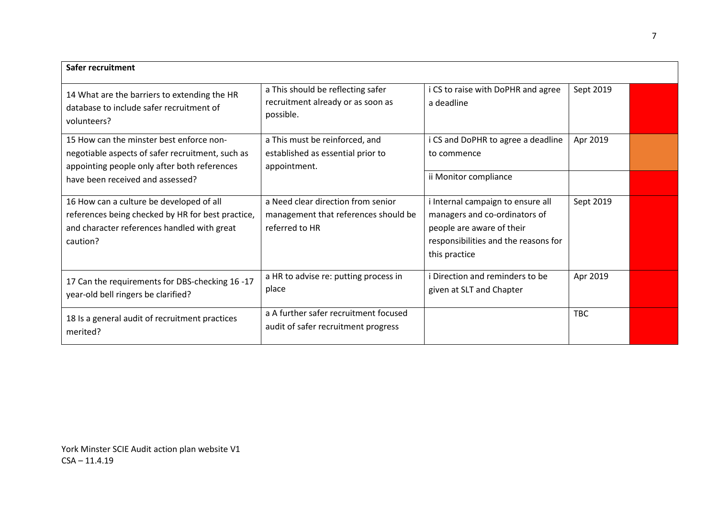| Safer recruitment                                                                                                                                                                |                                                                                              |                                                                                                                                                          |            |  |
|----------------------------------------------------------------------------------------------------------------------------------------------------------------------------------|----------------------------------------------------------------------------------------------|----------------------------------------------------------------------------------------------------------------------------------------------------------|------------|--|
| 14 What are the barriers to extending the HR<br>database to include safer recruitment of<br>volunteers?                                                                          | a This should be reflecting safer<br>recruitment already or as soon as<br>possible.          | i CS to raise with DoPHR and agree<br>a deadline                                                                                                         | Sept 2019  |  |
| 15 How can the minster best enforce non-<br>negotiable aspects of safer recruitment, such as<br>appointing people only after both references<br>have been received and assessed? | a This must be reinforced, and<br>established as essential prior to<br>appointment.          | i CS and DoPHR to agree a deadline<br>to commence<br>ii Monitor compliance                                                                               | Apr 2019   |  |
| 16 How can a culture be developed of all<br>references being checked by HR for best practice,<br>and character references handled with great<br>caution?                         | a Need clear direction from senior<br>management that references should be<br>referred to HR | i Internal campaign to ensure all<br>managers and co-ordinators of<br>people are aware of their<br>responsibilities and the reasons for<br>this practice | Sept 2019  |  |
| 17 Can the requirements for DBS-checking 16 -17<br>year-old bell ringers be clarified?                                                                                           | a HR to advise re: putting process in<br>place                                               | i Direction and reminders to be<br>given at SLT and Chapter                                                                                              | Apr 2019   |  |
| 18 Is a general audit of recruitment practices<br>merited?                                                                                                                       | a A further safer recruitment focused<br>audit of safer recruitment progress                 |                                                                                                                                                          | <b>TBC</b> |  |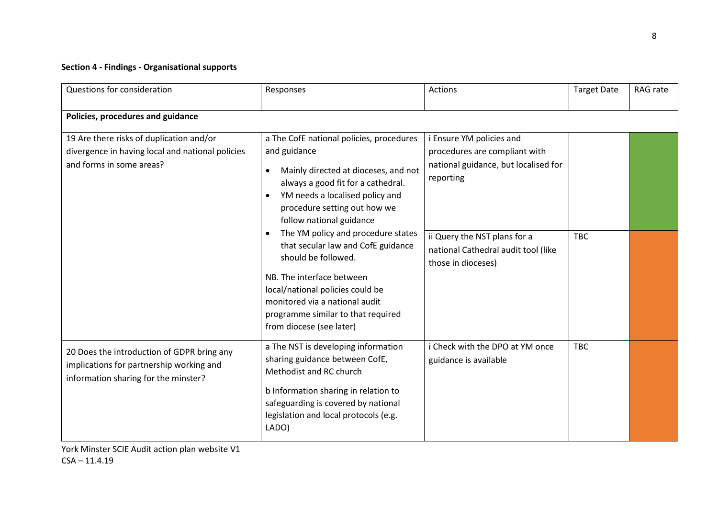## **Section 4 - Findings - Organisational supports**

| Questions for consideration                                                                                                    | Responses                                                                                                                                                                                                                                                                   | Actions                                                                                                                                        | <b>Target Date</b> | RAG rate |
|--------------------------------------------------------------------------------------------------------------------------------|-----------------------------------------------------------------------------------------------------------------------------------------------------------------------------------------------------------------------------------------------------------------------------|------------------------------------------------------------------------------------------------------------------------------------------------|--------------------|----------|
| Policies, procedures and guidance                                                                                              |                                                                                                                                                                                                                                                                             |                                                                                                                                                |                    |          |
| 19 Are there risks of duplication and/or<br>divergence in having local and national policies<br>and forms in some areas?       | a The CofE national policies, procedures<br>and guidance<br>Mainly directed at dioceses, and not<br>always a good fit for a cathedral.<br>YM needs a localised policy and<br>procedure setting out how we<br>follow national guidance<br>The YM policy and procedure states | i Ensure YM policies and<br>procedures are compliant with<br>national guidance, but localised for<br>reporting<br>ii Query the NST plans for a | <b>TBC</b>         |          |
|                                                                                                                                | that secular law and CofE guidance<br>should be followed.<br>NB. The interface between<br>local/national policies could be<br>monitored via a national audit<br>programme similar to that required<br>from diocese (see later)                                              | national Cathedral audit tool (like<br>those in dioceses)                                                                                      |                    |          |
| 20 Does the introduction of GDPR bring any<br>implications for partnership working and<br>information sharing for the minster? | a The NST is developing information<br>sharing guidance between CofE,<br>Methodist and RC church<br>b Information sharing in relation to<br>safeguarding is covered by national<br>legislation and local protocols (e.g.<br>LADO)                                           | i Check with the DPO at YM once<br>guidance is available                                                                                       | <b>TBC</b>         |          |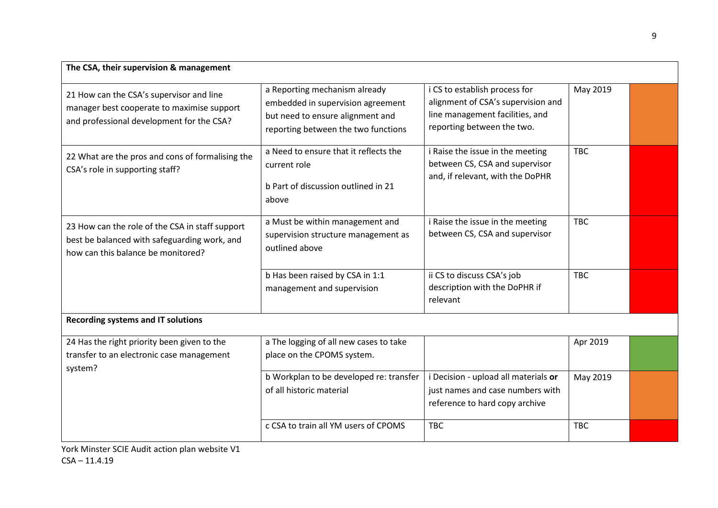| The CSA, their supervision & management                                                                                               |                                                                                                                                               |                                                                                                                                      |            |  |
|---------------------------------------------------------------------------------------------------------------------------------------|-----------------------------------------------------------------------------------------------------------------------------------------------|--------------------------------------------------------------------------------------------------------------------------------------|------------|--|
| 21 How can the CSA's supervisor and line<br>manager best cooperate to maximise support<br>and professional development for the CSA?   | a Reporting mechanism already<br>embedded in supervision agreement<br>but need to ensure alignment and<br>reporting between the two functions | i CS to establish process for<br>alignment of CSA's supervision and<br>line management facilities, and<br>reporting between the two. | May 2019   |  |
| 22 What are the pros and cons of formalising the<br>CSA's role in supporting staff?                                                   | a Need to ensure that it reflects the<br>current role<br>b Part of discussion outlined in 21<br>above                                         | i Raise the issue in the meeting<br>between CS, CSA and supervisor<br>and, if relevant, with the DoPHR                               | <b>TBC</b> |  |
| 23 How can the role of the CSA in staff support<br>best be balanced with safeguarding work, and<br>how can this balance be monitored? | a Must be within management and<br>supervision structure management as<br>outlined above                                                      | i Raise the issue in the meeting<br>between CS, CSA and supervisor                                                                   | <b>TBC</b> |  |
|                                                                                                                                       | b Has been raised by CSA in 1:1<br>management and supervision                                                                                 | ii CS to discuss CSA's job<br>description with the DoPHR if<br>relevant                                                              | <b>TBC</b> |  |
| <b>Recording systems and IT solutions</b>                                                                                             |                                                                                                                                               |                                                                                                                                      |            |  |
| 24 Has the right priority been given to the<br>transfer to an electronic case management<br>system?                                   | a The logging of all new cases to take<br>place on the CPOMS system.                                                                          |                                                                                                                                      | Apr 2019   |  |
|                                                                                                                                       | b Workplan to be developed re: transfer<br>of all historic material                                                                           | i Decision - upload all materials or<br>just names and case numbers with<br>reference to hard copy archive                           | May 2019   |  |
|                                                                                                                                       | c CSA to train all YM users of CPOMS                                                                                                          | <b>TBC</b>                                                                                                                           | <b>TBC</b> |  |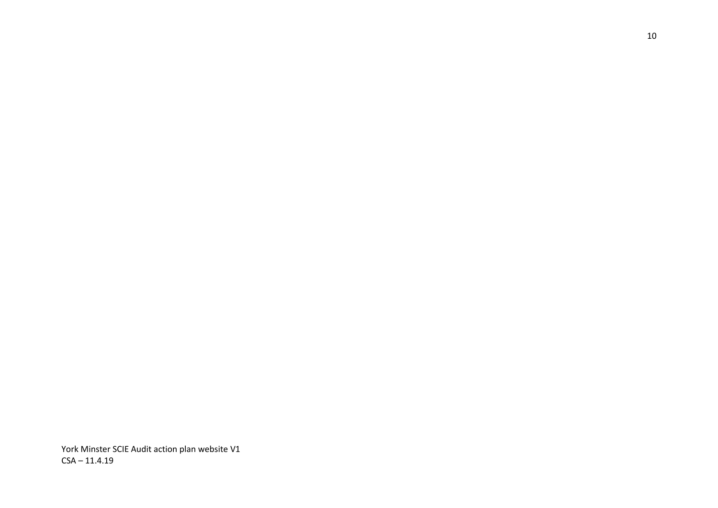York Minster SCIE Audit action plan website V1  $CSA - 11.4.19$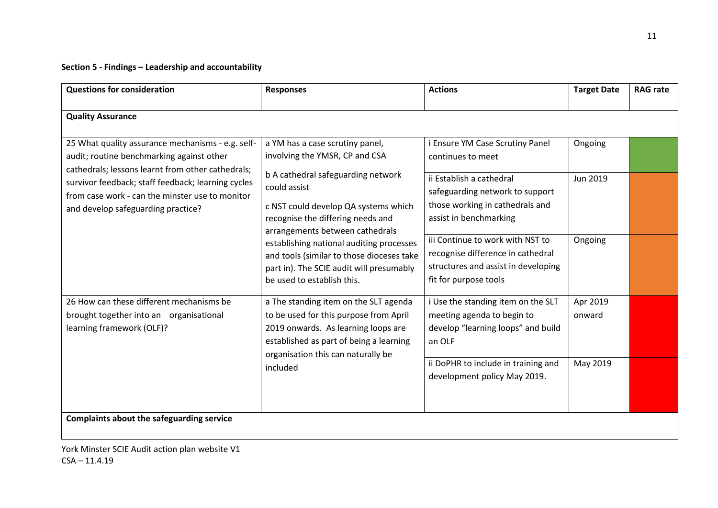## **Section 5 - Findings – Leadership and accountability**

| <b>Questions for consideration</b>                                                                                                                                                                                                                                                                                                      | <b>Responses</b>                                                                                                                                                                                                                                                                                                                                                                                           | <b>Actions</b>                                                                                                                        | <b>Target Date</b> | <b>RAG</b> rate |
|-----------------------------------------------------------------------------------------------------------------------------------------------------------------------------------------------------------------------------------------------------------------------------------------------------------------------------------------|------------------------------------------------------------------------------------------------------------------------------------------------------------------------------------------------------------------------------------------------------------------------------------------------------------------------------------------------------------------------------------------------------------|---------------------------------------------------------------------------------------------------------------------------------------|--------------------|-----------------|
| <b>Quality Assurance</b>                                                                                                                                                                                                                                                                                                                |                                                                                                                                                                                                                                                                                                                                                                                                            |                                                                                                                                       |                    |                 |
| 25 What quality assurance mechanisms - e.g. self-<br>audit; routine benchmarking against other<br>cathedrals; lessons learnt from other cathedrals;<br>survivor feedback; staff feedback; learning cycles<br>from case work - can the minster use to monitor<br>and develop safeguarding practice?                                      | a YM has a case scrutiny panel,<br>involving the YMSR, CP and CSA<br>b A cathedral safeguarding network<br>could assist<br>c NST could develop QA systems which<br>recognise the differing needs and<br>arrangements between cathedrals<br>establishing national auditing processes<br>and tools (similar to those dioceses take<br>part in). The SCIE audit will presumably<br>be used to establish this. | i Ensure YM Case Scrutiny Panel<br>continues to meet                                                                                  | Ongoing            |                 |
|                                                                                                                                                                                                                                                                                                                                         |                                                                                                                                                                                                                                                                                                                                                                                                            | ii Establish a cathedral<br>safeguarding network to support<br>those working in cathedrals and<br>assist in benchmarking              | Jun 2019           |                 |
|                                                                                                                                                                                                                                                                                                                                         |                                                                                                                                                                                                                                                                                                                                                                                                            | iii Continue to work with NST to<br>recognise difference in cathedral<br>structures and assist in developing<br>fit for purpose tools | Ongoing            |                 |
| 26 How can these different mechanisms be<br>a The standing item on the SLT agenda<br>to be used for this purpose from April<br>brought together into an organisational<br>2019 onwards. As learning loops are<br>learning framework (OLF)?<br>established as part of being a learning<br>organisation this can naturally be<br>included | i Use the standing item on the SLT<br>meeting agenda to begin to<br>develop "learning loops" and build<br>an OLF                                                                                                                                                                                                                                                                                           | Apr 2019<br>onward                                                                                                                    |                    |                 |
|                                                                                                                                                                                                                                                                                                                                         |                                                                                                                                                                                                                                                                                                                                                                                                            | ii DoPHR to include in training and<br>development policy May 2019.                                                                   | May 2019           |                 |
| Complaints about the safeguarding service                                                                                                                                                                                                                                                                                               |                                                                                                                                                                                                                                                                                                                                                                                                            |                                                                                                                                       |                    |                 |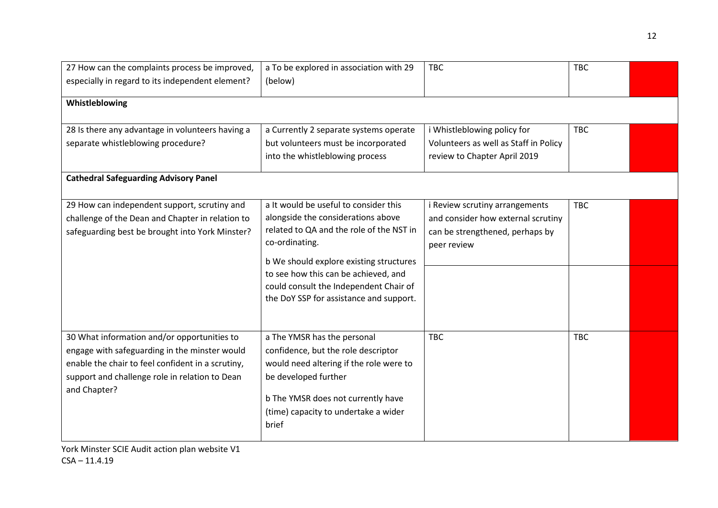| 27 How can the complaints process be improved,<br>especially in regard to its independent element?                                                                                                                  | a To be explored in association with 29<br>(below)                                                                                                                                                                                                                                                                | <b>TBC</b>                                                                                                             | <b>TBC</b> |  |
|---------------------------------------------------------------------------------------------------------------------------------------------------------------------------------------------------------------------|-------------------------------------------------------------------------------------------------------------------------------------------------------------------------------------------------------------------------------------------------------------------------------------------------------------------|------------------------------------------------------------------------------------------------------------------------|------------|--|
| Whistleblowing                                                                                                                                                                                                      |                                                                                                                                                                                                                                                                                                                   |                                                                                                                        |            |  |
| 28 Is there any advantage in volunteers having a<br>separate whistleblowing procedure?<br><b>Cathedral Safeguarding Advisory Panel</b>                                                                              | a Currently 2 separate systems operate<br>but volunteers must be incorporated<br>into the whistleblowing process                                                                                                                                                                                                  | i Whistleblowing policy for<br>Volunteers as well as Staff in Policy<br>review to Chapter April 2019                   | <b>TBC</b> |  |
| 29 How can independent support, scrutiny and<br>challenge of the Dean and Chapter in relation to<br>safeguarding best be brought into York Minster?                                                                 | a It would be useful to consider this<br>alongside the considerations above<br>related to QA and the role of the NST in<br>co-ordinating.<br>b We should explore existing structures<br>to see how this can be achieved, and<br>could consult the Independent Chair of<br>the DoY SSP for assistance and support. | i Review scrutiny arrangements<br>and consider how external scrutiny<br>can be strengthened, perhaps by<br>peer review | <b>TBC</b> |  |
| 30 What information and/or opportunities to<br>engage with safeguarding in the minster would<br>enable the chair to feel confident in a scrutiny,<br>support and challenge role in relation to Dean<br>and Chapter? | a The YMSR has the personal<br>confidence, but the role descriptor<br>would need altering if the role were to<br>be developed further<br>b The YMSR does not currently have<br>(time) capacity to undertake a wider<br>brief                                                                                      | <b>TBC</b>                                                                                                             | <b>TBC</b> |  |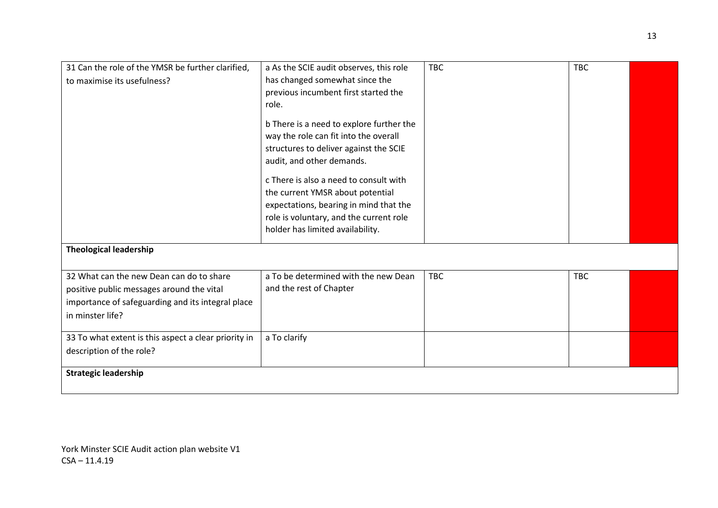| 31 Can the role of the YMSR be further clarified,<br>to maximise its usefulness?<br><b>Theological leadership</b>                                              | a As the SCIE audit observes, this role<br>has changed somewhat since the<br>previous incumbent first started the<br>role.<br>b There is a need to explore further the<br>way the role can fit into the overall<br>structures to deliver against the SCIE<br>audit, and other demands.<br>c There is also a need to consult with<br>the current YMSR about potential<br>expectations, bearing in mind that the<br>role is voluntary, and the current role<br>holder has limited availability. | <b>TBC</b> | <b>TBC</b> |  |
|----------------------------------------------------------------------------------------------------------------------------------------------------------------|-----------------------------------------------------------------------------------------------------------------------------------------------------------------------------------------------------------------------------------------------------------------------------------------------------------------------------------------------------------------------------------------------------------------------------------------------------------------------------------------------|------------|------------|--|
|                                                                                                                                                                |                                                                                                                                                                                                                                                                                                                                                                                                                                                                                               |            |            |  |
| 32 What can the new Dean can do to share<br>positive public messages around the vital<br>importance of safeguarding and its integral place<br>in minster life? | a To be determined with the new Dean<br>and the rest of Chapter                                                                                                                                                                                                                                                                                                                                                                                                                               | <b>TBC</b> | <b>TBC</b> |  |
| 33 To what extent is this aspect a clear priority in<br>description of the role?                                                                               | a To clarify                                                                                                                                                                                                                                                                                                                                                                                                                                                                                  |            |            |  |
| <b>Strategic leadership</b>                                                                                                                                    |                                                                                                                                                                                                                                                                                                                                                                                                                                                                                               |            |            |  |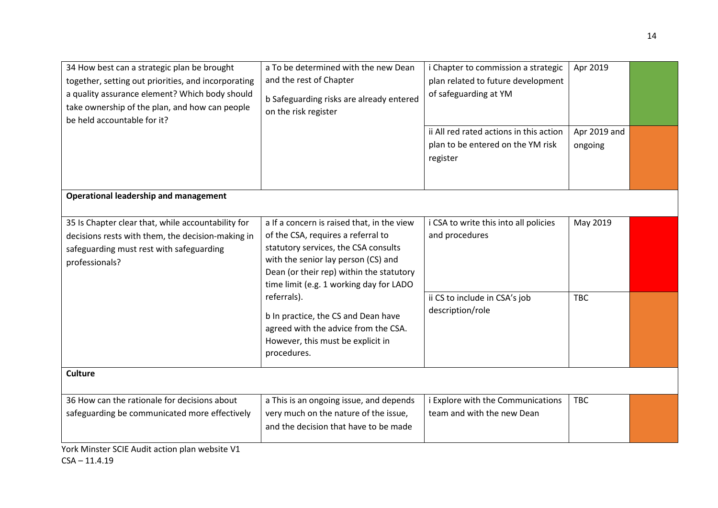| 34 How best can a strategic plan be brought<br>together, setting out priorities, and incorporating<br>a quality assurance element? Which body should<br>take ownership of the plan, and how can people<br>be held accountable for it? | a To be determined with the new Dean<br>and the rest of Chapter<br>b Safeguarding risks are already entered<br>on the risk register                                                                                                                                                                                                                                                                      | i Chapter to commission a strategic<br>plan related to future development<br>of safeguarding at YM<br>ii All red rated actions in this action<br>plan to be entered on the YM risk<br>register | Apr 2019<br>Apr 2019 and<br>ongoing |  |
|---------------------------------------------------------------------------------------------------------------------------------------------------------------------------------------------------------------------------------------|----------------------------------------------------------------------------------------------------------------------------------------------------------------------------------------------------------------------------------------------------------------------------------------------------------------------------------------------------------------------------------------------------------|------------------------------------------------------------------------------------------------------------------------------------------------------------------------------------------------|-------------------------------------|--|
| <b>Operational leadership and management</b>                                                                                                                                                                                          |                                                                                                                                                                                                                                                                                                                                                                                                          |                                                                                                                                                                                                |                                     |  |
| 35 Is Chapter clear that, while accountability for<br>decisions rests with them, the decision-making in<br>safeguarding must rest with safeguarding<br>professionals?                                                                 | a If a concern is raised that, in the view<br>of the CSA, requires a referral to<br>statutory services, the CSA consults<br>with the senior lay person (CS) and<br>Dean (or their rep) within the statutory<br>time limit (e.g. 1 working day for LADO<br>referrals).<br>b In practice, the CS and Dean have<br>agreed with the advice from the CSA.<br>However, this must be explicit in<br>procedures. | i CSA to write this into all policies<br>and procedures<br>ii CS to include in CSA's job<br>description/role                                                                                   | May 2019<br><b>TBC</b>              |  |
| <b>Culture</b>                                                                                                                                                                                                                        |                                                                                                                                                                                                                                                                                                                                                                                                          |                                                                                                                                                                                                |                                     |  |
| 36 How can the rationale for decisions about<br>safeguarding be communicated more effectively<br>Vork Minstor SCIE Audit astion plan wobsite V1                                                                                       | a This is an ongoing issue, and depends<br>very much on the nature of the issue,<br>and the decision that have to be made                                                                                                                                                                                                                                                                                | i Explore with the Communications<br>team and with the new Dean                                                                                                                                | <b>TBC</b>                          |  |